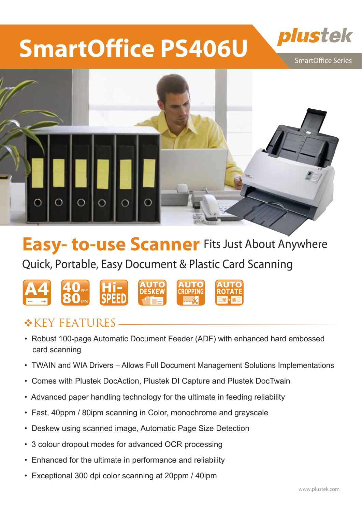# **SmartOffice PS406U**

SmartOffice Series

plustek



## **Easy- to-use Scanner** Fits Just About Anywhere

Quick, Portable, Easy Document & Plastic Card Scanning



### $*$ KEY FEATURES.

- Robust 100-page Automatic Document Feeder (ADF) with enhanced hard embossed card scanning
- TWAIN and WIA Drivers Allows Full Document Management Solutions Implementations
- Comes with Plustek DocAction, Plustek DI Capture and Plustek DocTwain
- Advanced paper handling technology for the ultimate in feeding reliability
- Fast, 40ppm / 80ipm scanning in Color, monochrome and grayscale
- Deskew using scanned image, Automatic Page Size Detection
- 3 colour dropout modes for advanced OCR processing
- Enhanced for the ultimate in performance and reliability
- Exceptional 300 dpi color scanning at 20ppm / 40ipm